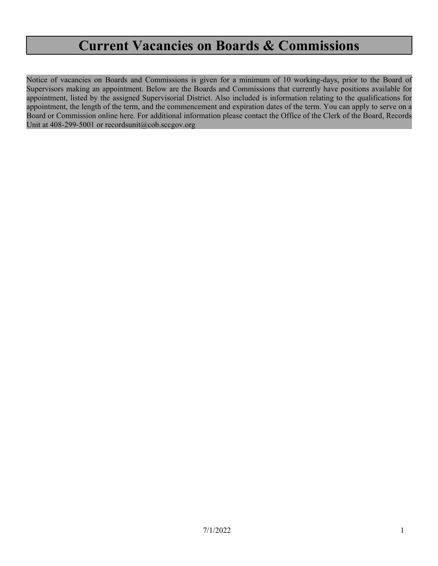# **Current Vacancies on Boards & Commissions**

Notice of vacancies on Boards and Commissions is given for a minimum of 10 working-days, prior to the Board of Supervisors making an appointment. Below are the Boards and Commissions that currently have positions available for appointment, listed by the assigned Supervisorial District. Also included is information relating to the qualifications for appointment, the length of the term, and the commencement and expiration dates of the term. You can apply to serve on a Board or Commission online [here](https://santaclaracounty.primegov.com/Portal/NewForm/1). For additional information please contact the Office of the Clerk of the Board, Records Unit at 408-299-5001 or [recordsunit@cob.sccgov.org](mailto:recordsunit@cob.sccgov.org)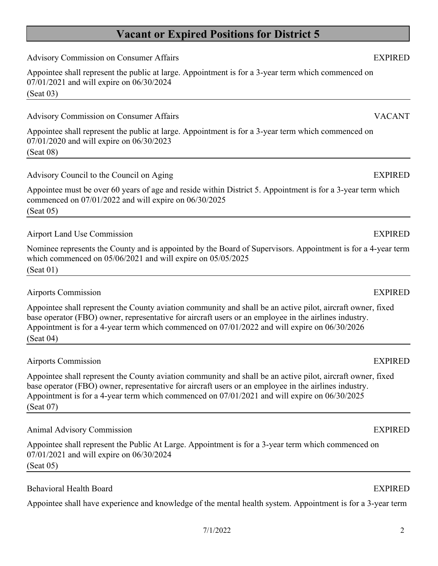7/1/2022 2

# **Vacant or Expired Positions for District 5**

Advisory Commission on Consumer Affairs **EXPIRED** 

Appointee shall represent the public at large. Appointment is for a 3-year term which commenced on

Appointee shall represent the public at large. Appointment is for a 3-year term which commenced on

Advisory Council to the Council on Aging Theorem 2012 Services and the EXPIRED EXPIRED Appointee must be over 60 years of age and reside within District 5. Appointment is for a 3-year term which commenced on 07/01/2022 and will expire on 06/30/2025 (Seat 05) Airport Land Use Commission **EXPIRED** 

Nominee represents the County and is appointed by the Board of Supervisors. Appointment is for a 4-year term which commenced on 05/06/2021 and will expire on 05/05/2025 (Seat 01)

Airports Commission EXPIRED

07/01/2021 and will expire on 06/30/2024

07/01/2020 and will expire on 06/30/2023

(Seat 03)

(Seat 08)

Appointee shall represent the County aviation community and shall be an active pilot, aircraft owner, fixed base operator (FBO) owner, representative for aircraft users or an employee in the airlines industry. Appointment is for a 4-year term which commenced on 07/01/2022 and will expire on 06/30/2026 (Seat 04)

# Airports Commission EXPIRED

Appointee shall represent the County aviation community and shall be an active pilot, aircraft owner, fixed base operator (FBO) owner, representative for aircraft users or an employee in the airlines industry. Appointment is for a 4-year term which commenced on 07/01/2021 and will expire on 06/30/2025 (Seat 07)

# Animal Advisory Commission EXPIRED

Appointee shall represent the Public At Large. Appointment is for a 3-year term which commenced on 07/01/2021 and will expire on 06/30/2024 (Seat 05)

# Behavioral Health Board EXPIRED

Appointee shall have experience and knowledge of the mental health system. Appointment is for a 3-year term

# Advisory Commission on Consumer Affairs VACANT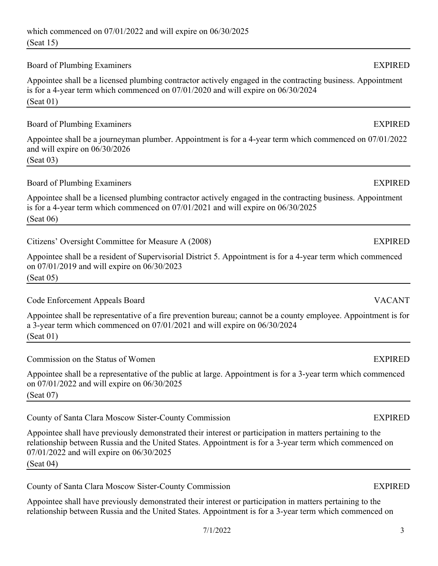## Board of Plumbing Examiners **EXPIRED**

Appointee shall be a licensed plumbing contractor actively engaged in the contracting business. Appointment is for a 4-year term which commenced on 07/01/2020 and will expire on 06/30/2024 (Seat 01)

## Board of Plumbing Examiners **EXPIRED**

Appointee shall be a journeyman plumber. Appointment is for a 4-year term which commenced on 07/01/2022 and will expire on 06/30/2026

(Seat 03)

# Board of Plumbing Examiners **EXPIRED**

Appointee shall be a licensed plumbing contractor actively engaged in the contracting business. Appointment is for a 4-year term which commenced on 07/01/2021 and will expire on 06/30/2025 (Seat 06)

Citizens' Oversight Committee for Measure A (2008) EXPIRED

Appointee shall be a resident of Supervisorial District 5. Appointment is for a 4-year term which commenced on 07/01/2019 and will expire on 06/30/2023 (Seat 05)

Code Enforcement Appeals Board VACANT

Appointee shall be representative of a fire prevention bureau; cannot be a county employee. Appointment is for a 3-year term which commenced on 07/01/2021 and will expire on 06/30/2024 (Seat 01)

Commission on the Status of Women EXPIRED

Appointee shall be a representative of the public at large. Appointment is for a 3-year term which commenced on 07/01/2022 and will expire on 06/30/2025 (Seat 07)

County of Santa Clara Moscow Sister-County Commission EXPIRED

Appointee shall have previously demonstrated their interest or participation in matters pertaining to the relationship between Russia and the United States. Appointment is for a 3-year term which commenced on 07/01/2022 and will expire on 06/30/2025

(Seat 04)

County of Santa Clara Moscow Sister-County Commission EXPIRED

Appointee shall have previously demonstrated their interest or participation in matters pertaining to the relationship between Russia and the United States. Appointment is for a 3-year term which commenced on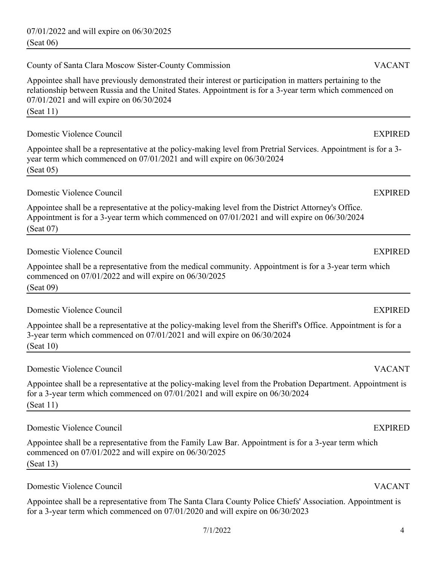07/01/2022 and will expire on 06/30/2025 (Seat 06)

County of Santa Clara Moscow Sister-County Commission VACANT

Appointee shall have previously demonstrated their interest or participation in matters pertaining to the relationship between Russia and the United States. Appointment is for a 3-year term which commenced on 07/01/2021 and will expire on 06/30/2024

(Seat 11)

Domestic Violence Council EXPIRED

Appointee shall be a representative at the policy-making level from Pretrial Services. Appointment is for a 3 year term which commenced on 07/01/2021 and will expire on 06/30/2024 (Seat 05)

Domestic Violence Council EXPIRED

Appointee shall be a representative at the policy-making level from the District Attorney's Office. Appointment is for a 3-year term which commenced on 07/01/2021 and will expire on 06/30/2024 (Seat 07)

Domestic Violence Council EXPIRED

Appointee shall be a representative from the medical community. Appointment is for a 3-year term which commenced on 07/01/2022 and will expire on 06/30/2025 (Seat 09)

Domestic Violence Council EXPIRED

Appointee shall be a representative at the policy-making level from the Sheriff's Office. Appointment is for a 3-year term which commenced on 07/01/2021 and will expire on 06/30/2024 (Seat 10)

Domestic Violence Council VACANT

Appointee shall be a representative at the policy-making level from the Probation Department. Appointment is for a 3-year term which commenced on 07/01/2021 and will expire on 06/30/2024 (Seat 11)

Domestic Violence Council EXPIRED

Appointee shall be a representative from the Family Law Bar. Appointment is for a 3-year term which commenced on 07/01/2022 and will expire on 06/30/2025 (Seat 13)

Domestic Violence Council VACANT

Appointee shall be a representative from The Santa Clara County Police Chiefs' Association. Appointment is for a 3-year term which commenced on 07/01/2020 and will expire on 06/30/2023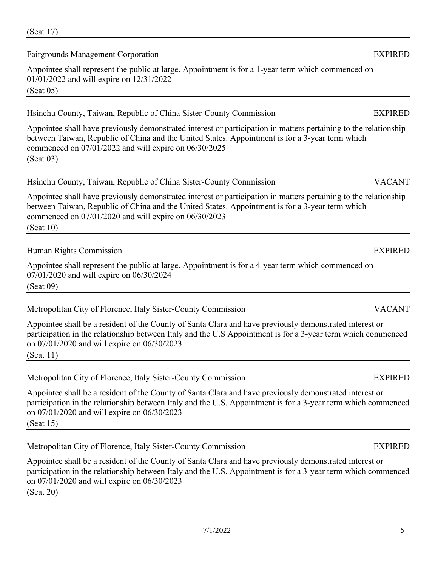(Seat 17)

Fairgrounds Management Corporation **EXPIRED** 

Appointee shall represent the public at large. Appointment is for a 1-year term which commenced on 01/01/2022 and will expire on 12/31/2022

(Seat 05)

## Hsinchu County, Taiwan, Republic of China Sister-County Commission EXPIRED

Appointee shall have previously demonstrated interest or participation in matters pertaining to the relationship between Taiwan, Republic of China and the United States. Appointment is for a 3-year term which commenced on 07/01/2022 and will expire on 06/30/2025 (Seat 03)

Appointee shall have previously demonstrated interest or participation in matters pertaining to the relationship between Taiwan, Republic of China and the United States. Appointment is for a 3-year term which commenced on 07/01/2020 and will expire on 06/30/2023 (Seat 10)

# Human Rights Commission EXPIRED

Appointee shall represent the public at large. Appointment is for a 4-year term which commenced on 07/01/2020 and will expire on 06/30/2024 (Seat 09)

Metropolitan City of Florence, Italy Sister-County Commission VACANT

Appointee shall be a resident of the County of Santa Clara and have previously demonstrated interest or participation in the relationship between Italy and the U.S Appointment is for a 3-year term which commenced on 07/01/2020 and will expire on 06/30/2023 (Seat 11)

Metropolitan City of Florence, Italy Sister-County Commission EXPIRED

Appointee shall be a resident of the County of Santa Clara and have previously demonstrated interest or participation in the relationship between Italy and the U.S. Appointment is for a 3-year term which commenced on 07/01/2020 and will expire on 06/30/2023 (Seat 15)

Metropolitan City of Florence, Italy Sister-County Commission EXPIRED

Appointee shall be a resident of the County of Santa Clara and have previously demonstrated interest or participation in the relationship between Italy and the U.S. Appointment is for a 3-year term which commenced on 07/01/2020 and will expire on 06/30/2023 (Seat 20)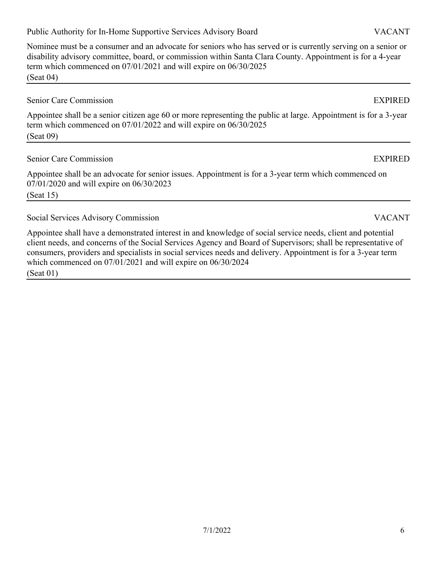7/1/2022 6

# Public Authority for In-Home Supportive Services Advisory Board VACANT

Nominee must be a consumer and an advocate for seniors who has served or is currently serving on a senior or disability advisory committee, board, or commission within Santa Clara County. Appointment is for a 4-year term which commenced on 07/01/2021 and will expire on 06/30/2025 (Seat 04)

## Senior Care Commission EXPIRED

Appointee shall be a senior citizen age 60 or more representing the public at large. Appointment is for a 3-year term which commenced on 07/01/2022 and will expire on 06/30/2025 (Seat 09)

# Senior Care Commission **EXPIRED**

Appointee shall be an advocate for senior issues. Appointment is for a 3-year term which commenced on 07/01/2020 and will expire on 06/30/2023 (Seat 15)

# Social Services Advisory Commission VACANT

Appointee shall have a demonstrated interest in and knowledge of social service needs, client and potential client needs, and concerns of the Social Services Agency and Board of Supervisors; shall be representative of consumers, providers and specialists in social services needs and delivery. Appointment is for a 3-year term which commenced on 07/01/2021 and will expire on 06/30/2024 (Seat 01)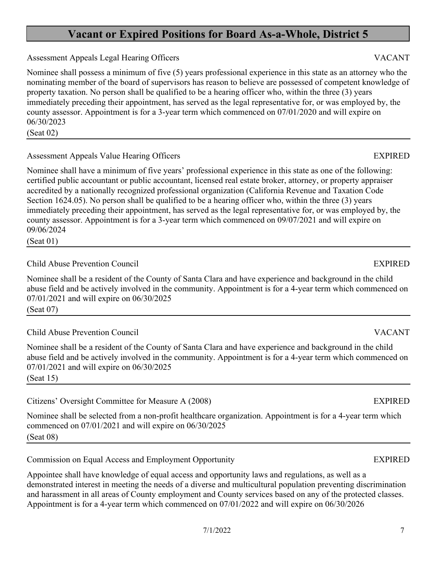# **Vacant or Expired Positions for Board As-a-Whole, District 5**

Assessment Appeals Legal Hearing Officers **VACANT** 

Nominee shall possess a minimum of five (5) years professional experience in this state as an attorney who the nominating member of the board of supervisors has reason to believe are possessed of competent knowledge of property taxation. No person shall be qualified to be a hearing officer who, within the three (3) years immediately preceding their appointment, has served as the legal representative for, or was employed by, the county assessor. Appointment is for a 3-year term which commenced on 07/01/2020 and will expire on 06/30/2023

(Seat 02)

# Assessment Appeals Value Hearing Officers **EXPIRED**

Nominee shall have a minimum of five years' professional experience in this state as one of the following: certified public accountant or public accountant, licensed real estate broker, attorney, or property appraiser accredited by a nationally recognized professional organization (California Revenue and Taxation Code Section 1624.05). No person shall be qualified to be a hearing officer who, within the three (3) years immediately preceding their appointment, has served as the legal representative for, or was employed by, the county assessor. Appointment is for a 3-year term which commenced on 09/07/2021 and will expire on 09/06/2024

(Seat 01)

# Child Abuse Prevention Council EXPIRED

Nominee shall be a resident of the County of Santa Clara and have experience and background in the child abuse field and be actively involved in the community. Appointment is for a 4-year term which commenced on 07/01/2021 and will expire on 06/30/2025 (Seat 07)

Child Abuse Prevention Council VACANT

Nominee shall be a resident of the County of Santa Clara and have experience and background in the child abuse field and be actively involved in the community. Appointment is for a 4-year term which commenced on 07/01/2021 and will expire on 06/30/2025 (Seat 15)

Citizens' Oversight Committee for Measure A (2008) EXPIRED

Nominee shall be selected from a non-profit healthcare organization. Appointment is for a 4-year term which commenced on 07/01/2021 and will expire on 06/30/2025 (Seat 08)

Commission on Equal Access and Employment Opportunity EXPIRED

Appointee shall have knowledge of equal access and opportunity laws and regulations, as well as a demonstrated interest in meeting the needs of a diverse and multicultural population preventing discrimination and harassment in all areas of County employment and County services based on any of the protected classes. Appointment is for a 4-year term which commenced on 07/01/2022 and will expire on 06/30/2026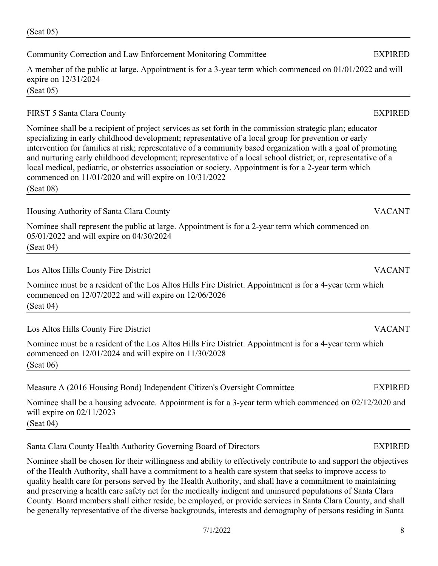# Community Correction and Law Enforcement Monitoring Committee EXPIRED

A member of the public at large. Appointment is for a 3-year term which commenced on 01/01/2022 and will expire on 12/31/2024 (Seat 05)

# FIRST 5 Santa Clara County EXPIRED

Nominee shall be a recipient of project services as set forth in the commission strategic plan; educator specializing in early childhood development; representative of a local group for prevention or early intervention for families at risk; representative of a community based organization with a goal of promoting and nurturing early childhood development; representative of a local school district; or, representative of a local medical, pediatric, or obstetrics association or society. Appointment is for a 2-year term which commenced on 11/01/2020 and will expire on 10/31/2022

(Seat 08)

Housing Authority of Santa Clara County VACANT

Nominee shall represent the public at large. Appointment is for a 2-year term which commenced on 05/01/2022 and will expire on 04/30/2024 (Seat 04)

Los Altos Hills County Fire District VACANT

Nominee must be a resident of the Los Altos Hills Fire District. Appointment is for a 4-year term which commenced on 12/07/2022 and will expire on 12/06/2026 (Seat 04)

Los Altos Hills County Fire District VACANT

Nominee must be a resident of the Los Altos Hills Fire District. Appointment is for a 4-year term which commenced on 12/01/2024 and will expire on 11/30/2028 (Seat 06)

Measure A (2016 Housing Bond) Independent Citizen's Oversight Committee EXPIRED

Nominee shall be a housing advocate. Appointment is for a 3-year term which commenced on 02/12/2020 and will expire on 02/11/2023

(Seat 04)

Santa Clara County Health Authority Governing Board of Directors EXPIRED

Nominee shall be chosen for their willingness and ability to effectively contribute to and support the objectives of the Health Authority, shall have a commitment to a health care system that seeks to improve access to quality health care for persons served by the Health Authority, and shall have a commitment to maintaining and preserving a health care safety net for the medically indigent and uninsured populations of Santa Clara County. Board members shall either reside, be employed, or provide services in Santa Clara County, and shall be generally representative of the diverse backgrounds, interests and demography of persons residing in Santa